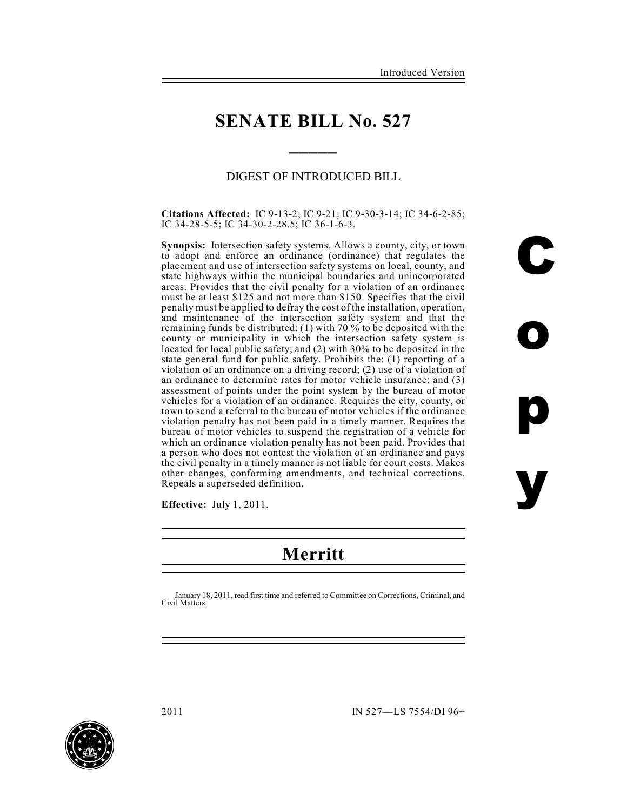**o**

**p**

**y**

### **SENATE BILL No. 527**

**\_\_\_\_\_**

### DIGEST OF INTRODUCED BILL

**Citations Affected:** IC 9-13-2; IC 9-21; IC 9-30-3-14; IC 34-6-2-85; IC 34-28-5-5; IC 34-30-2-28.5; IC 36-1-6-3.

**Synopsis:** Intersection safety systems. Allows a county, city, or town to adopt and enforce an ordinance (ordinance) that regulates the placement and use of intersection safety systems on local, county, and state highways within the municipal boundaries and unincorporated areas. Provides that the civil penalty for a violation of an ordinance must be at least \$125 and not more than \$150. Specifies that the civil penalty must be applied to defray the cost of the installation, operation, and maintenance of the intersection safety system and that the remaining funds be distributed: (1) with 70 % to be deposited with the county or municipality in which the intersection safety system is located for local public safety; and (2) with 30% to be deposited in the state general fund for public safety. Prohibits the: (1) reporting of a violation of an ordinance on a driving record; (2) use of a violation of an ordinance to determine rates for motor vehicle insurance; and (3) assessment of points under the point system by the bureau of motor vehicles for a violation of an ordinance. Requires the city, county, or town to send a referral to the bureau of motor vehicles if the ordinance violation penalty has not been paid in a timely manner. Requires the bureau of motor vehicles to suspend the registration of a vehicle for which an ordinance violation penalty has not been paid. Provides that a person who does not contest the violation of an ordinance and pays the civil penalty in a timely manner is not liable for court costs. Makes other changes, conforming amendments, and technical corrections. Repeals a superseded definition.

**Effective:** July 1, 2011.

# **Merritt**

January 18, 2011, read first time and referred to Committee on Corrections, Criminal, and Civil Matters.

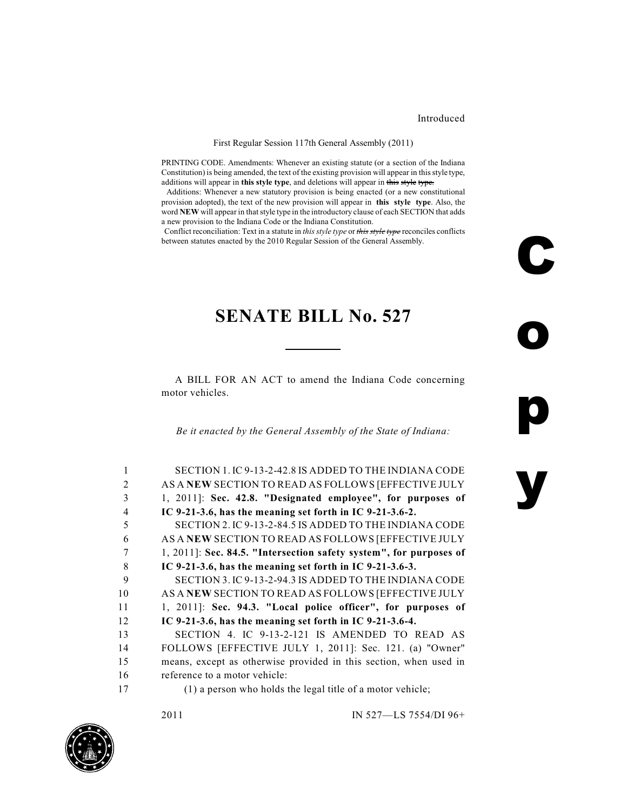### Introduced

**C**

**o**

**p**

**y**

#### First Regular Session 117th General Assembly (2011)

PRINTING CODE. Amendments: Whenever an existing statute (or a section of the Indiana Constitution) is being amended, the text of the existing provision will appear in this style type, additions will appear in **this style type**, and deletions will appear in this style type.

 Additions: Whenever a new statutory provision is being enacted (or a new constitutional provision adopted), the text of the new provision will appear in **this style type**. Also, the word **NEW** will appear in that style type in the introductory clause of each SECTION that adds a new provision to the Indiana Code or the Indiana Constitution.

 Conflict reconciliation: Text in a statute in *this style type* or *this style type* reconciles conflicts between statutes enacted by the 2010 Regular Session of the General Assembly.

# **SENATE BILL No. 527**

A BILL FOR AN ACT to amend the Indiana Code concerning motor vehicles.

*Be it enacted by the General Assembly of the State of Indiana:*

| SECTION 1. IC 9-13-2-42.8 IS ADDED TO THE INDIANA CODE             |
|--------------------------------------------------------------------|
| AS A NEW SECTION TO READ AS FOLLOWS [EFFECTIVE JULY                |
| 1, 2011]: Sec. 42.8. "Designated employee", for purposes of        |
| IC 9-21-3.6, has the meaning set forth in IC 9-21-3.6-2.           |
| SECTION 2. IC 9-13-2-84.5 IS ADDED TO THE INDIANA CODE             |
| AS A NEW SECTION TO READ AS FOLLOWS [EFFECTIVE JULY                |
| 1, 2011]: Sec. 84.5. "Intersection safety system", for purposes of |
| IC 9-21-3.6, has the meaning set forth in IC 9-21-3.6-3.           |
| SECTION 3. IC 9-13-2-94.3 IS ADDED TO THE INDIANA CODE             |
| AS A NEW SECTION TO READ AS FOLLOWS [EFFECTIVE JULY                |
| 1, 2011]: Sec. 94.3. "Local police officer", for purposes of       |
| IC 9-21-3.6, has the meaning set forth in IC 9-21-3.6-4.           |
| SECTION 4. IC 9-13-2-121 IS AMENDED TO READ AS                     |
| FOLLOWS [EFFECTIVE JULY 1, 2011]: Sec. 121. (a) "Owner"            |
| means, except as otherwise provided in this section, when used in  |
| reference to a motor vehicle:                                      |
| (1) a person who holds the legal title of a motor vehicle;         |
|                                                                    |

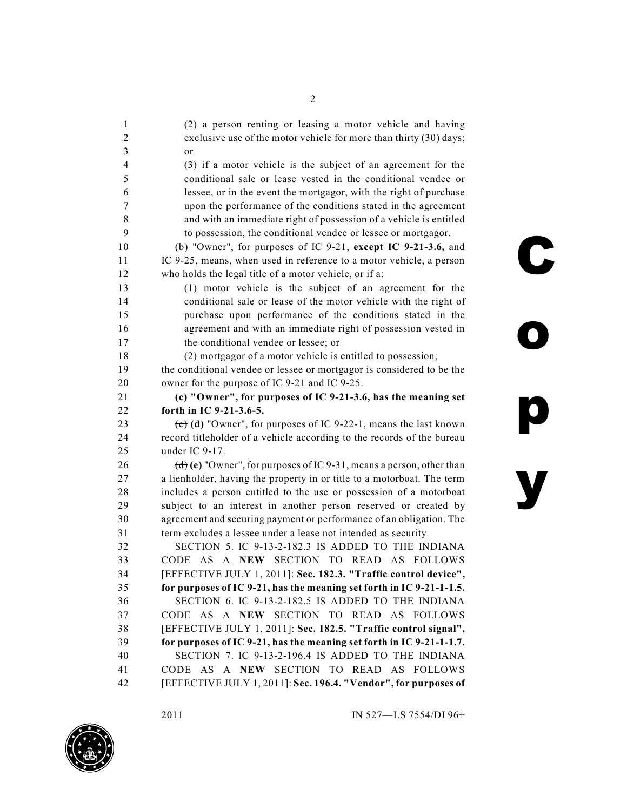(2) a person renting or leasing a motor vehicle and having exclusive use of the motor vehicle for more than thirty (30) days; 3 or (3) if a motor vehicle is the subject of an agreement for the conditional sale or lease vested in the conditional vendee or lessee, or in the event the mortgagor, with the right of purchase upon the performance of the conditions stated in the agreement and with an immediate right of possession of a vehicle is entitled to possession, the conditional vendee or lessee or mortgagor. (b) "Owner", for purposes of IC 9-21, **except IC 9-21-3.6,** and IC 9-25, means, when used in reference to a motor vehicle, a person who holds the legal title of a motor vehicle, or if a: (1) motor vehicle is the subject of an agreement for the conditional sale or lease of the motor vehicle with the right of purchase upon performance of the conditions stated in the agreement and with an immediate right of possession vested in 17 the conditional vendee or lessee; or (2) mortgagor of a motor vehicle is entitled to possession; the conditional vendee or lessee or mortgagor is considered to be the owner for the purpose of IC 9-21 and IC 9-25. **(c) "Owner", for purposes of IC 9-21-3.6, has the meaning set forth in IC 9-21-3.6-5.** (c) **(d)** "Owner", for purposes of IC 9-22-1, means the last known record titleholder of a vehicle according to the records of the bureau under IC 9-17. (d) **(e)** "Owner", for purposes of IC 9-31, means a person, other than a lienholder, having the property in or title to a motorboat. The term includes a person entitled to the use or possession of a motorboat subject to an interest in another person reserved or created by agreement and securing payment or performance of an obligation. The term excludes a lessee under a lease not intended as security. SECTION 5. IC 9-13-2-182.3 IS ADDED TO THE INDIANA CODE AS A **NEW** SECTION TO READ AS FOLLOWS [EFFECTIVE JULY 1, 2011]: **Sec. 182.3. "Traffic control device", for purposes of IC 9-21, has the meaning set forth in IC 9-21-1-1.5.** SECTION 6. IC 9-13-2-182.5 IS ADDED TO THE INDIANA CODE AS A **NEW** SECTION TO READ AS FOLLOWS [EFFECTIVE JULY 1, 2011]: **Sec. 182.5. "Traffic control signal", for purposes of IC 9-21, has the meaning set forth in IC 9-21-1-1.7.** SECTION 7. IC 9-13-2-196.4 IS ADDED TO THE INDIANA CODE AS A **NEW** SECTION TO READ AS FOLLOWS [EFFECTIVE JULY 1, 2011]: **Sec. 196.4. "Vendor", for purposes of**

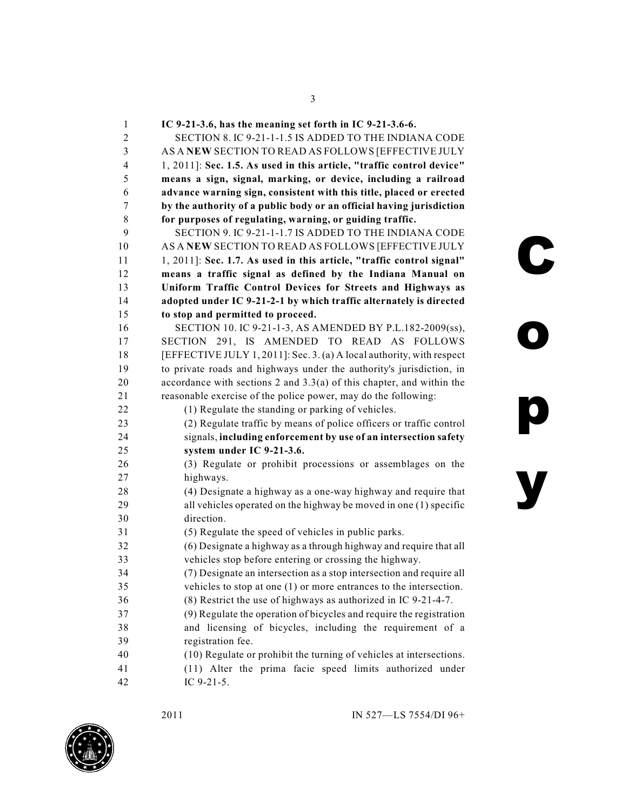**IC 9-21-3.6, has the meaning set forth in IC 9-21-3.6-6.** SECTION 8. IC 9-21-1-1.5 IS ADDED TO THE INDIANA CODE AS A **NEW** SECTION TO READ AS FOLLOWS [EFFECTIVE JULY 1, 2011]: **Sec. 1.5. As used in this article, "traffic control device" means a sign, signal, marking, or device, including a railroad advance warning sign, consistent with this title, placed or erected by the authority of a public body or an official having jurisdiction for purposes of regulating, warning, or guiding traffic.** SECTION 9. IC 9-21-1-1.7 IS ADDED TO THE INDIANA CODE AS A **NEW** SECTION TO READ AS FOLLOWS [EFFECTIVE JULY 1, 2011]: **Sec. 1.7. As used in this article, "traffic control signal" means a traffic signal as defined by the Indiana Manual on Uniform Traffic Control Devices for Streets and Highways as adopted under IC 9-21-2-1 by which traffic alternately is directed to stop and permitted to proceed.** SECTION 10. IC 9-21-1-3, AS AMENDED BY P.L.182-2009(ss), SECTION 291, IS AMENDED TO READ AS FOLLOWS [EFFECTIVE JULY 1, 2011]: Sec. 3. (a) A local authority, with respect to private roads and highways under the authority's jurisdiction, in accordance with sections 2 and 3.3(a) of this chapter, and within the reasonable exercise of the police power, may do the following: (1) Regulate the standing or parking of vehicles. (2) Regulate traffic by means of police officers or traffic control signals, **including enforcement by use of an intersection safety system under IC 9-21-3.6.** (3) Regulate or prohibit processions or assemblages on the highways. (4) Designate a highway as a one-way highway and require that all vehicles operated on the highway be moved in one (1) specific direction. (5) Regulate the speed of vehicles in public parks. (6) Designate a highway as a through highway and require that all vehicles stop before entering or crossing the highway. (7) Designate an intersection as a stop intersection and require all vehicles to stop at one (1) or more entrances to the intersection. (8) Restrict the use of highways as authorized in IC 9-21-4-7. (9) Regulate the operation of bicycles and require the registration and licensing of bicycles, including the requirement of a registration fee. (10) Regulate or prohibit the turning of vehicles at intersections. (11) Alter the prima facie speed limits authorized under

IC 9-21-5.

**C**

**o**

**p**

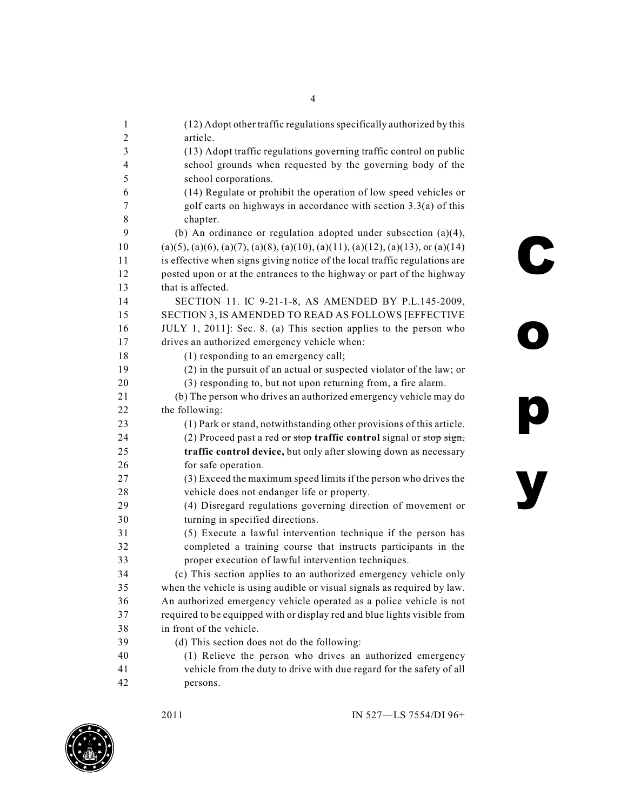| $\mathbf{1}$            | (12) Adopt other traffic regulations specifically authorized by this             |
|-------------------------|----------------------------------------------------------------------------------|
| 2                       | article.                                                                         |
| 3                       | (13) Adopt traffic regulations governing traffic control on public               |
| $\overline{\mathbf{4}}$ | school grounds when requested by the governing body of the                       |
| 5                       | school corporations.                                                             |
| 6                       | (14) Regulate or prohibit the operation of low speed vehicles or                 |
| 7                       | golf carts on highways in accordance with section $3.3(a)$ of this               |
| 8                       | chapter.                                                                         |
| 9                       | (b) An ordinance or regulation adopted under subsection $(a)(4)$ ,               |
| 10                      | $(a)(5), (a)(6), (a)(7), (a)(8), (a)(10), (a)(11), (a)(12), (a)(13), or (a)(14)$ |
| 11                      | is effective when signs giving notice of the local traffic regulations are       |
| 12                      | posted upon or at the entrances to the highway or part of the highway            |
| 13                      | that is affected.                                                                |
| 14                      | SECTION 11. IC 9-21-1-8, AS AMENDED BY P.L.145-2009,                             |
| 15                      | SECTION 3, IS AMENDED TO READ AS FOLLOWS [EFFECTIVE                              |
| 16                      | JULY 1, 2011]: Sec. 8. (a) This section applies to the person who                |
| 17                      | drives an authorized emergency vehicle when:                                     |
| 18                      | (1) responding to an emergency call;                                             |
| 19                      | (2) in the pursuit of an actual or suspected violator of the law; or             |
| 20                      | (3) responding to, but not upon returning from, a fire alarm.                    |
| 21                      | (b) The person who drives an authorized emergency vehicle may do                 |
| 22                      | the following:                                                                   |
| 23                      | (1) Park or stand, notwithstanding other provisions of this article.             |
| 24                      | (2) Proceed past a red or stop traffic control signal or stop sign,              |
| 25                      | traffic control device, but only after slowing down as necessary                 |
| 26                      | for safe operation.                                                              |
| 27                      | (3) Exceed the maximum speed limits if the person who drives the                 |
| 28                      | vehicle does not endanger life or property.                                      |
| 29                      | (4) Disregard regulations governing direction of movement or                     |
| 30                      | turning in specified directions.                                                 |
| 31                      | (5) Execute a lawful intervention technique if the person has                    |
| 32                      | completed a training course that instructs participants in the                   |
| 33                      | proper execution of lawful intervention techniques.                              |
| 34                      | (c) This section applies to an authorized emergency vehicle only                 |
| 35                      | when the vehicle is using audible or visual signals as required by law.          |
| 36                      | An authorized emergency vehicle operated as a police vehicle is not              |
| 37                      | required to be equipped with or display red and blue lights visible from         |
| 38                      | in front of the vehicle.                                                         |
| 39                      | (d) This section does not do the following:                                      |
| 40                      | (1) Relieve the person who drives an authorized emergency                        |
| 41                      | vehicle from the duty to drive with due regard for the safety of all             |
| 42                      | persons.                                                                         |
|                         |                                                                                  |



**o**

**p**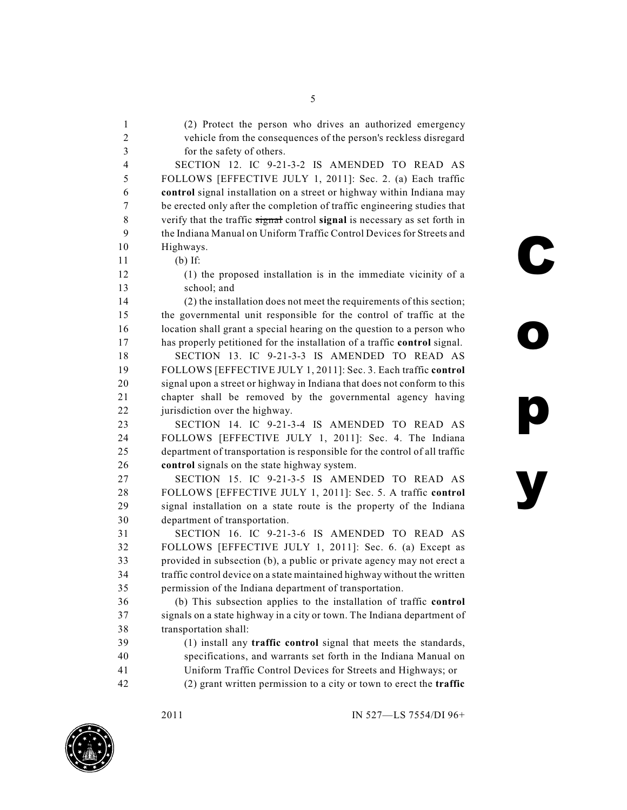vehicle from the consequences of the person's reckless disregard for the safety of others. SECTION 12. IC 9-21-3-2 IS AMENDED TO READ AS FOLLOWS [EFFECTIVE JULY 1, 2011]: Sec. 2. (a) Each traffic **control** signal installation on a street or highway within Indiana may be erected only after the completion of traffic engineering studies that verify that the traffic signal control **signal** is necessary as set forth in the Indiana Manual on Uniform Traffic Control Devices for Streets and Highways. (b) If: (1) the proposed installation is in the immediate vicinity of a school; and (2) the installation does not meet the requirements of this section; the governmental unit responsible for the control of traffic at the location shall grant a special hearing on the question to a person who has properly petitioned for the installation of a traffic **control** signal. SECTION 13. IC 9-21-3-3 IS AMENDED TO READ AS FOLLOWS [EFFECTIVE JULY 1, 2011]: Sec. 3. Each traffic **control** signal upon a street or highway in Indiana that does not conform to this chapter shall be removed by the governmental agency having jurisdiction over the highway. SECTION 14. IC 9-21-3-4 IS AMENDED TO READ AS FOLLOWS [EFFECTIVE JULY 1, 2011]: Sec. 4. The Indiana department of transportation is responsible for the control of all traffic **control** signals on the state highway system. SECTION 15. IC 9-21-3-5 IS AMENDED TO READ AS FOLLOWS [EFFECTIVE JULY 1, 2011]: Sec. 5. A traffic **control** signal installation on a state route is the property of the Indiana department of transportation. SECTION 16. IC 9-21-3-6 IS AMENDED TO READ AS FOLLOWS [EFFECTIVE JULY 1, 2011]: Sec. 6. (a) Except as provided in subsection (b), a public or private agency may not erect a traffic control device on a state maintained highway without the written permission of the Indiana department of transportation.

 (b) This subsection applies to the installation of traffic **control** signals on a state highway in a city or town. The Indiana department of transportation shall:

 (1) install any **traffic control** signal that meets the standards, specifications, and warrants set forth in the Indiana Manual on Uniform Traffic Control Devices for Streets and Highways; or

(2) grant written permission to a city or town to erect the **traffic**



**C**

**o**

**p**

**y**

(2) Protect the person who drives an authorized emergency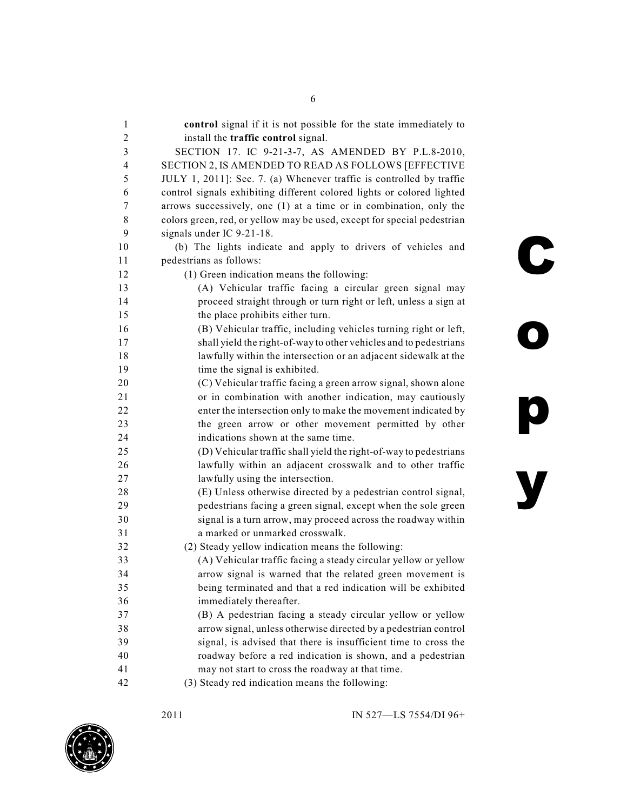| 1              | control signal if it is not possible for the state immediately to       |
|----------------|-------------------------------------------------------------------------|
| $\overline{2}$ | install the traffic control signal.                                     |
| 3              | SECTION 17. IC 9-21-3-7, AS AMENDED BY P.L.8-2010,                      |
| $\overline{4}$ | SECTION 2, IS AMENDED TO READ AS FOLLOWS [EFFECTIVE                     |
| 5              | JULY 1, 2011]: Sec. 7. (a) Whenever traffic is controlled by traffic    |
| 6              | control signals exhibiting different colored lights or colored lighted  |
| 7              | arrows successively, one (1) at a time or in combination, only the      |
| 8              | colors green, red, or yellow may be used, except for special pedestrian |
| 9              | signals under IC 9-21-18.                                               |
| 10             | (b) The lights indicate and apply to drivers of vehicles and            |
| 11             | pedestrians as follows:                                                 |
| 12             | (1) Green indication means the following:                               |
| 13             | (A) Vehicular traffic facing a circular green signal may                |
| 14             | proceed straight through or turn right or left, unless a sign at        |
| 15             | the place prohibits either turn.                                        |
| 16             | (B) Vehicular traffic, including vehicles turning right or left,        |
| 17             | shall yield the right-of-way to other vehicles and to pedestrians       |
| 18             | lawfully within the intersection or an adjacent sidewalk at the         |
| 19             | time the signal is exhibited.                                           |
| 20             | (C) Vehicular traffic facing a green arrow signal, shown alone          |
| 21             | or in combination with another indication, may cautiously               |
| 22             | enter the intersection only to make the movement indicated by           |
| 23             | the green arrow or other movement permitted by other                    |
| 24             | indications shown at the same time.                                     |
| 25             | (D) Vehicular traffic shall yield the right-of-way to pedestrians       |
| 26             | lawfully within an adjacent crosswalk and to other traffic              |
| 27             | lawfully using the intersection.                                        |
| 28             | (E) Unless otherwise directed by a pedestrian control signal,           |
| 29             | pedestrians facing a green signal, except when the sole green           |
| 30             | signal is a turn arrow, may proceed across the roadway within           |
| 31             | a marked or unmarked crosswalk.                                         |
| 32             | (2) Steady yellow indication means the following:                       |
| 33             | (A) Vehicular traffic facing a steady circular yellow or yellow         |
| 34             | arrow signal is warned that the related green movement is               |
| 35             | being terminated and that a red indication will be exhibited            |
| 36             | immediately thereafter.                                                 |
| 37             | (B) A pedestrian facing a steady circular yellow or yellow              |
| 38             | arrow signal, unless otherwise directed by a pedestrian control         |
| 39             | signal, is advised that there is insufficient time to cross the         |
| 40             | roadway before a red indication is shown, and a pedestrian              |
| 41             | may not start to cross the roadway at that time.                        |
| 42             | (3) Steady red indication means the following:                          |

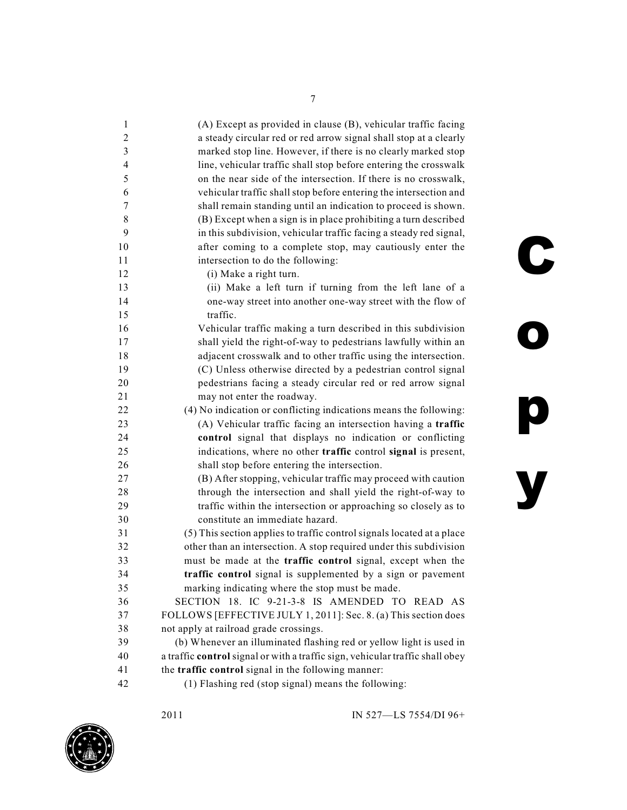| 1              | (A) Except as provided in clause (B), vehicular traffic facing                |
|----------------|-------------------------------------------------------------------------------|
| $\overline{2}$ | a steady circular red or red arrow signal shall stop at a clearly             |
| 3              | marked stop line. However, if there is no clearly marked stop                 |
| $\overline{4}$ | line, vehicular traffic shall stop before entering the crosswalk              |
| 5              | on the near side of the intersection. If there is no crosswalk,               |
| 6              | vehicular traffic shall stop before entering the intersection and             |
| $\tau$         | shall remain standing until an indication to proceed is shown.                |
| $\,$ 8 $\,$    | (B) Except when a sign is in place prohibiting a turn described               |
| 9              | in this subdivision, vehicular traffic facing a steady red signal,            |
| 10             | after coming to a complete stop, may cautiously enter the                     |
| 11             | intersection to do the following:                                             |
| 12             | (i) Make a right turn.                                                        |
| 13             | (ii) Make a left turn if turning from the left lane of a                      |
| 14             | one-way street into another one-way street with the flow of                   |
| 15             | traffic.                                                                      |
| 16             | Vehicular traffic making a turn described in this subdivision                 |
| 17             | shall yield the right-of-way to pedestrians lawfully within an                |
| 18             | adjacent crosswalk and to other traffic using the intersection.               |
| 19             | (C) Unless otherwise directed by a pedestrian control signal                  |
| 20             | pedestrians facing a steady circular red or red arrow signal                  |
| 21             | may not enter the roadway.                                                    |
| 22             | (4) No indication or conflicting indications means the following:             |
| 23             | (A) Vehicular traffic facing an intersection having a traffic                 |
| 24             | control signal that displays no indication or conflicting                     |
| 25             | indications, where no other traffic control signal is present,                |
| 26             | shall stop before entering the intersection.                                  |
| 27             | (B) After stopping, vehicular traffic may proceed with caution                |
| 28             | through the intersection and shall yield the right-of-way to                  |
| 29             | traffic within the intersection or approaching so closely as to               |
| 30             | constitute an immediate hazard.                                               |
| 31             | (5) This section applies to traffic control signals located at a place        |
| 32             | other than an intersection. A stop required under this subdivision            |
| 33             | must be made at the traffic control signal, except when the                   |
| 34             | traffic control signal is supplemented by a sign or pavement                  |
| 35             | marking indicating where the stop must be made.                               |
| 36             | SECTION 18. IC 9-21-3-8 IS AMENDED TO READ AS                                 |
| 37             | FOLLOWS [EFFECTIVE JULY 1, 2011]: Sec. 8. (a) This section does               |
| 38             | not apply at railroad grade crossings.                                        |
| 39             | (b) Whenever an illuminated flashing red or yellow light is used in           |
| 40             | a traffic control signal or with a traffic sign, vehicular traffic shall obey |
| 41             | the traffic control signal in the following manner:                           |
| 42             | (1) Flashing red (stop signal) means the following:                           |
|                |                                                                               |



**C**

**o**

**p**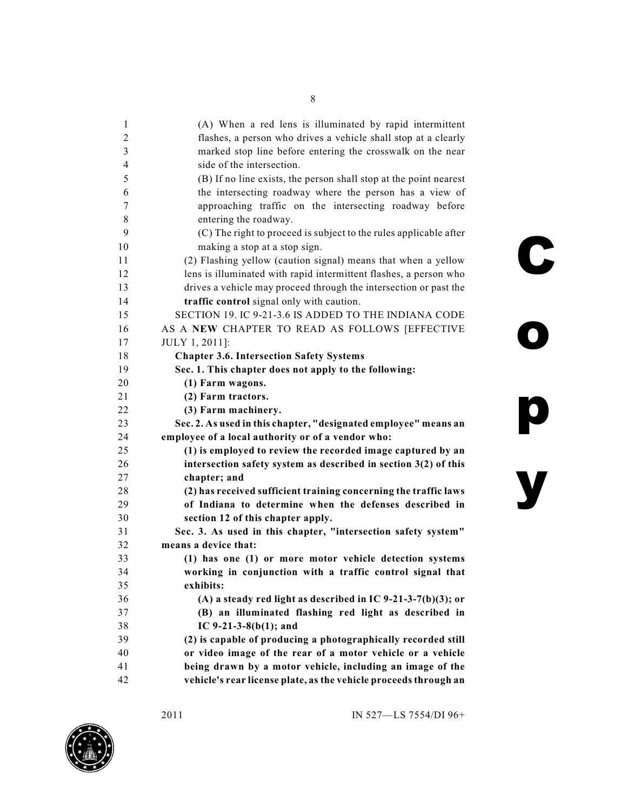| 1  | (A) When a red lens is illuminated by rapid intermittent          |
|----|-------------------------------------------------------------------|
| 2  | flashes, a person who drives a vehicle shall stop at a clearly    |
| 3  | marked stop line before entering the crosswalk on the near        |
| 4  | side of the intersection.                                         |
| 5  | (B) If no line exists, the person shall stop at the point nearest |
| 6  | the intersecting roadway where the person has a view of           |
| 7  | approaching traffic on the intersecting roadway before            |
| 8  | entering the roadway.                                             |
| 9  | (C) The right to proceed is subject to the rules applicable after |
| 10 | making a stop at a stop sign.                                     |
| 11 | (2) Flashing yellow (caution signal) means that when a yellow     |
| 12 | lens is illuminated with rapid intermittent flashes, a person who |
| 13 | drives a vehicle may proceed through the intersection or past the |
| 14 | traffic control signal only with caution.                         |
| 15 | SECTION 19. IC 9-21-3.6 IS ADDED TO THE INDIANA CODE              |
| 16 | AS A NEW CHAPTER TO READ AS FOLLOWS [EFFECTIVE                    |
| 17 | JULY 1, 2011]:                                                    |
| 18 | <b>Chapter 3.6. Intersection Safety Systems</b>                   |
| 19 | Sec. 1. This chapter does not apply to the following:             |
| 20 | (1) Farm wagons.                                                  |
| 21 | (2) Farm tractors.                                                |
| 22 | (3) Farm machinery.                                               |
| 23 | Sec. 2. As used in this chapter, "designated employee" means an   |
| 24 | employee of a local authority or of a vendor who:                 |
| 25 | (1) is employed to review the recorded image captured by an       |
| 26 | intersection safety system as described in section $3(2)$ of this |
| 27 | chapter; and                                                      |
| 28 | (2) has received sufficient training concerning the traffic laws  |
| 29 | of Indiana to determine when the defenses described in            |
| 30 | section 12 of this chapter apply.                                 |
| 31 | Sec. 3. As used in this chapter, "intersection safety system"     |
| 32 | means a device that:                                              |
| 33 | (1) has one (1) or more motor vehicle detection systems           |
| 34 | working in conjunction with a traffic control signal that         |
| 35 | exhibits:                                                         |
| 36 | (A) a steady red light as described in IC 9-21-3-7(b)(3); or      |
| 37 | (B) an illuminated flashing red light as described in             |
| 38 | IC $9-21-3-8(b(1))$ ; and                                         |
| 39 | (2) is capable of producing a photographically recorded still     |
| 40 | or video image of the rear of a motor vehicle or a vehicle        |
| 41 | being drawn by a motor vehicle, including an image of the         |
| 42 | vehicle's rear license plate, as the vehicle proceeds through an  |



**o**

**p**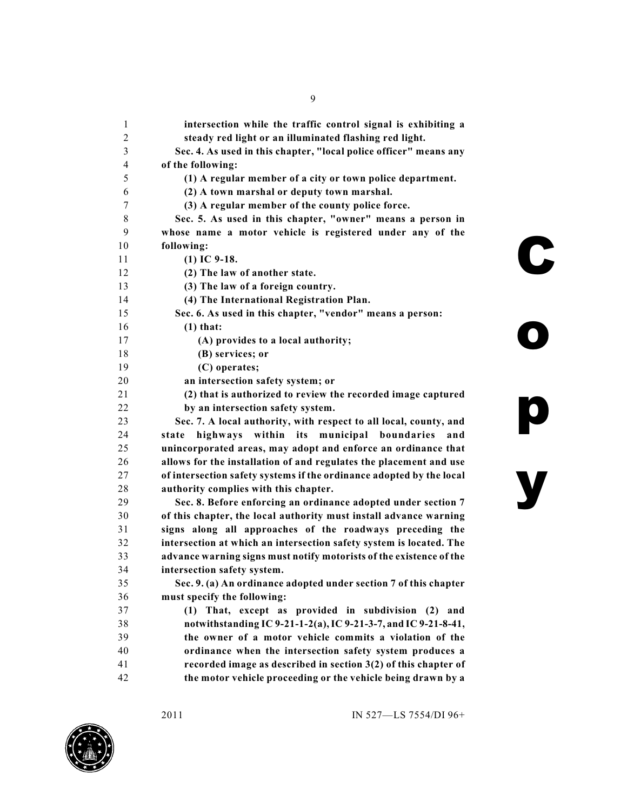| 1  | intersection while the traffic control signal is exhibiting a        |   |
|----|----------------------------------------------------------------------|---|
| 2  | steady red light or an illuminated flashing red light.               |   |
| 3  | Sec. 4. As used in this chapter, "local police officer" means any    |   |
| 4  | of the following:                                                    |   |
| 5  | (1) A regular member of a city or town police department.            |   |
| 6  | (2) A town marshal or deputy town marshal.                           |   |
| 7  | (3) A regular member of the county police force.                     |   |
| 8  | Sec. 5. As used in this chapter, "owner" means a person in           |   |
| 9  | whose name a motor vehicle is registered under any of the            |   |
| 10 | following:                                                           |   |
| 11 | $(1)$ IC 9-18.                                                       |   |
| 12 | (2) The law of another state.                                        |   |
| 13 | (3) The law of a foreign country.                                    |   |
| 14 | (4) The International Registration Plan.                             |   |
| 15 | Sec. 6. As used in this chapter, "vendor" means a person:            |   |
| 16 | $(1)$ that:                                                          |   |
| 17 | (A) provides to a local authority;                                   |   |
| 18 | (B) services; or                                                     |   |
| 19 | (C) operates;                                                        |   |
| 20 | an intersection safety system; or                                    |   |
| 21 | (2) that is authorized to review the recorded image captured         |   |
| 22 | by an intersection safety system.                                    |   |
| 23 | Sec. 7. A local authority, with respect to all local, county, and    |   |
| 24 | highways within its municipal boundaries<br>and<br>state             |   |
| 25 | unincorporated areas, may adopt and enforce an ordinance that        |   |
| 26 | allows for the installation of and regulates the placement and use   |   |
| 27 | of intersection safety systems if the ordinance adopted by the local |   |
| 28 | authority complies with this chapter.                                | y |
| 29 | Sec. 8. Before enforcing an ordinance adopted under section 7        |   |
| 30 | of this chapter, the local authority must install advance warning    |   |
| 31 | signs along all approaches of the roadways preceding the             |   |
| 32 | intersection at which an intersection safety system is located. The  |   |
| 33 | advance warning signs must notify motorists of the existence of the  |   |
| 34 | intersection safety system.                                          |   |
| 35 | Sec. 9. (a) An ordinance adopted under section 7 of this chapter     |   |
| 36 | must specify the following:                                          |   |
| 37 | That, except as provided in subdivision (2) and<br>(1)               |   |
| 38 | notwithstanding IC 9-21-1-2(a), IC 9-21-3-7, and IC 9-21-8-41,       |   |
| 39 | the owner of a motor vehicle commits a violation of the              |   |
| 40 | ordinance when the intersection safety system produces a             |   |
| 41 | recorded image as described in section $3(2)$ of this chapter of     |   |
| 42 | the motor vehicle proceeding or the vehicle being drawn by a         |   |

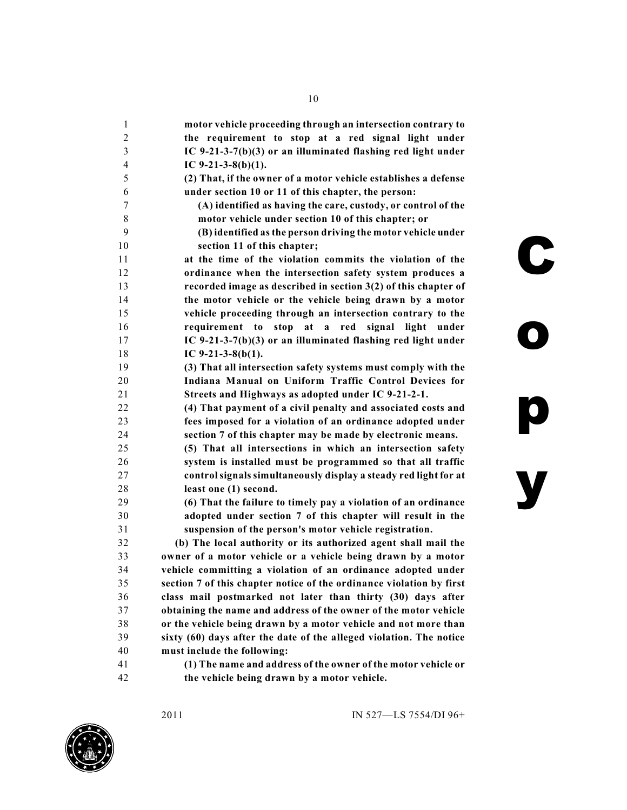| 1              | motor vehicle proceeding through an intersection contrary to         |
|----------------|----------------------------------------------------------------------|
| $\overline{c}$ | the requirement to stop at a red signal light under                  |
| 3              | IC 9-21-3-7(b)(3) or an illuminated flashing red light under         |
| $\overline{4}$ | IC $9-21-3-8(b)(1)$ .                                                |
| 5              | (2) That, if the owner of a motor vehicle establishes a defense      |
| 6              | under section 10 or 11 of this chapter, the person:                  |
| 7              | (A) identified as having the care, custody, or control of the        |
| 8              | motor vehicle under section 10 of this chapter; or                   |
| 9              | (B) identified as the person driving the motor vehicle under         |
| 10             | section 11 of this chapter;                                          |
| 11             | at the time of the violation commits the violation of the            |
| 12             | ordinance when the intersection safety system produces a             |
| 13             | recorded image as described in section $3(2)$ of this chapter of     |
| 14             | the motor vehicle or the vehicle being drawn by a motor              |
| 15             | vehicle proceeding through an intersection contrary to the           |
| 16             | requirement to stop at a red signal light<br>under                   |
| 17             | IC 9-21-3-7(b)(3) or an illuminated flashing red light under         |
| 18             | IC $9-21-3-8(b(1)$ .                                                 |
| 19             | (3) That all intersection safety systems must comply with the        |
| 20             | Indiana Manual on Uniform Traffic Control Devices for                |
| 21             | Streets and Highways as adopted under IC 9-21-2-1.                   |
| 22             | (4) That payment of a civil penalty and associated costs and         |
| 23             | fees imposed for a violation of an ordinance adopted under           |
| 24             | section 7 of this chapter may be made by electronic means.           |
| 25             | (5) That all intersections in which an intersection safety           |
| 26             | system is installed must be programmed so that all traffic           |
| 27             | control signals simultaneously display a steady red light for at     |
| 28             | least one (1) second.                                                |
| 29             | (6) That the failure to timely pay a violation of an ordinance       |
| 30             | adopted under section 7 of this chapter will result in the           |
| 31             | suspension of the person's motor vehicle registration.               |
| 32             | (b) The local authority or its authorized agent shall mail the       |
| 33             | owner of a motor vehicle or a vehicle being drawn by a motor         |
| 34             | vehicle committing a violation of an ordinance adopted under         |
| 35             | section 7 of this chapter notice of the ordinance violation by first |
| 36             | class mail postmarked not later than thirty (30) days after          |
| 37             | obtaining the name and address of the owner of the motor vehicle     |
| 38             | or the vehicle being drawn by a motor vehicle and not more than      |
| 39             | sixty (60) days after the date of the alleged violation. The notice  |
| 40             | must include the following:                                          |
| 41             | (1) The name and address of the owner of the motor vehicle or        |
| 42             | the vehicle being drawn by a motor vehicle.                          |

**o**

**p**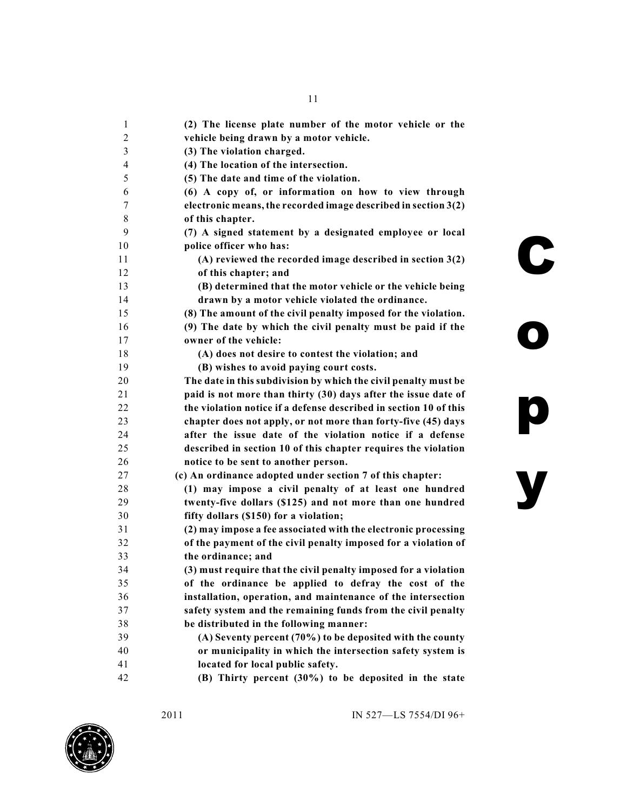| 1  | (2) The license plate number of the motor vehicle or the          |
|----|-------------------------------------------------------------------|
| 2  | vehicle being drawn by a motor vehicle.                           |
| 3  | (3) The violation charged.                                        |
| 4  | (4) The location of the intersection.                             |
| 5  | (5) The date and time of the violation.                           |
| 6  | (6) A copy of, or information on how to view through              |
| 7  | electronic means, the recorded image described in section 3(2)    |
| 8  | of this chapter.                                                  |
| 9  | (7) A signed statement by a designated employee or local          |
| 10 | police officer who has:                                           |
| 11 | (A) reviewed the recorded image described in section 3(2)         |
| 12 | of this chapter; and                                              |
| 13 | (B) determined that the motor vehicle or the vehicle being        |
| 14 | drawn by a motor vehicle violated the ordinance.                  |
| 15 | (8) The amount of the civil penalty imposed for the violation.    |
| 16 | (9) The date by which the civil penalty must be paid if the       |
| 17 | owner of the vehicle:                                             |
| 18 | (A) does not desire to contest the violation; and                 |
| 19 | (B) wishes to avoid paying court costs.                           |
| 20 | The date in this subdivision by which the civil penalty must be   |
| 21 | paid is not more than thirty (30) days after the issue date of    |
| 22 | the violation notice if a defense described in section 10 of this |
| 23 | chapter does not apply, or not more than forty-five (45) days     |
| 24 | after the issue date of the violation notice if a defense         |
| 25 | described in section 10 of this chapter requires the violation    |
| 26 | notice to be sent to another person.                              |
| 27 | (c) An ordinance adopted under section 7 of this chapter:         |
| 28 | (1) may impose a civil penalty of at least one hundred            |
| 29 | twenty-five dollars (\$125) and not more than one hundred         |
| 30 | fifty dollars (\$150) for a violation;                            |
| 31 | (2) may impose a fee associated with the electronic processing    |
| 32 | of the payment of the civil penalty imposed for a violation of    |
| 33 | the ordinance; and                                                |
| 34 | (3) must require that the civil penalty imposed for a violation   |
| 35 | of the ordinance be applied to defray the cost of the             |
| 36 | installation, operation, and maintenance of the intersection      |
| 37 | safety system and the remaining funds from the civil penalty      |
| 38 | be distributed in the following manner:                           |
| 39 | (A) Seventy percent (70%) to be deposited with the county         |
| 40 | or municipality in which the intersection safety system is        |
| 41 | located for local public safety.                                  |
| 42 | (B) Thirty percent (30%) to be deposited in the state             |
|    |                                                                   |



**o**

**p**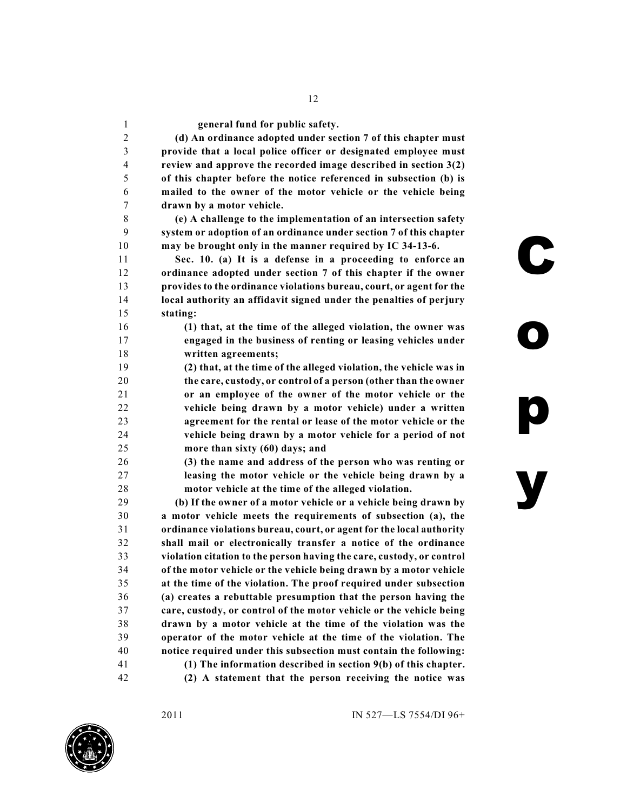**general fund for public safety.**

 **(d) An ordinance adopted under section 7 of this chapter must provide that a local police officer or designated employee must review and approve the recorded image described in section 3(2) of this chapter before the notice referenced in subsection (b) is mailed to the owner of the motor vehicle or the vehicle being drawn by a motor vehicle.**

 **(e) A challenge to the implementation of an intersection safety system or adoption of an ordinance under section 7 of this chapter may be brought only in the manner required by IC 34-13-6.**

 **Sec. 10. (a) It is a defense in a proceeding to enforce an ordinance adopted under section 7 of this chapter if the owner provides to the ordinance violations bureau, court, or agent for the local authority an affidavit signed under the penalties of perjury stating:**

 **(1) that, at the time of the alleged violation, the owner was engaged in the business of renting or leasing vehicles under written agreements;**

 **(2) that, at the time of the alleged violation, the vehicle was in the care, custody, or control of a person (other than the owner or an employee of the owner of the motor vehicle or the vehicle being drawn by a motor vehicle) under a written agreement for the rental or lease of the motor vehicle or the vehicle being drawn by a motor vehicle for a period of not more than sixty (60) days; and**

 **(3) the name and address of the person who was renting or leasing the motor vehicle or the vehicle being drawn by a motor vehicle at the time of the alleged violation.**

 **(b) If the owner of a motor vehicle or a vehicle being drawn by a motor vehicle meets the requirements of subsection (a), the ordinance violations bureau, court, or agent for the local authority shall mail or electronically transfer a notice of the ordinance violation citation to the person having the care, custody, or control of the motor vehicle or the vehicle being drawn by a motor vehicle at the time of the violation. The proof required under subsection (a) creates a rebuttable presumption that the person having the care, custody, or control of the motor vehicle or the vehicle being drawn by a motor vehicle at the time of the violation was the operator of the motor vehicle at the time of the violation. The notice required under this subsection must contain the following: (1) The information described in section 9(b) of this chapter. (2) A statement that the person receiving the notice was**

2011 IN 527—LS 7554/DI 96+

**C**

**o**

**p**

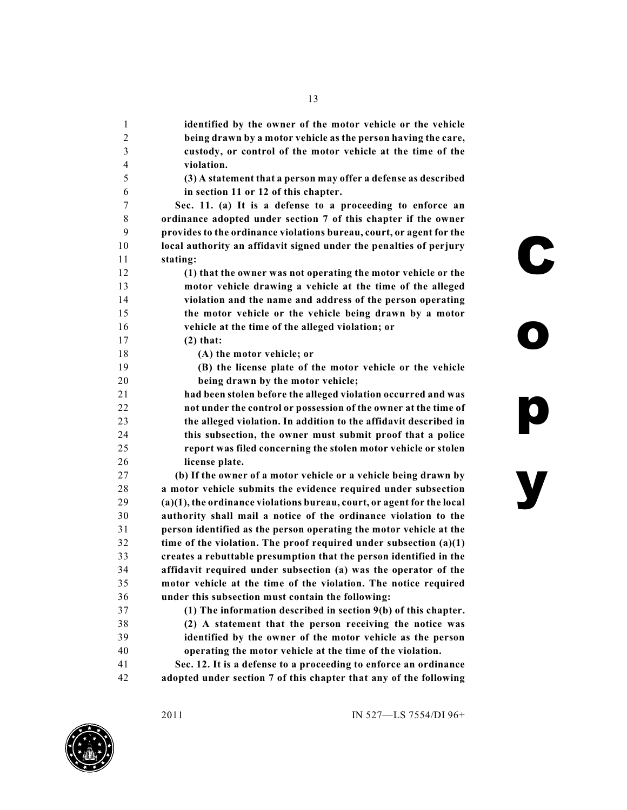| 1  | identified by the owner of the motor vehicle or the vehicle            |
|----|------------------------------------------------------------------------|
| 2  | being drawn by a motor vehicle as the person having the care,          |
| 3  | custody, or control of the motor vehicle at the time of the            |
| 4  | violation.                                                             |
| 5  | (3) A statement that a person may offer a defense as described         |
| 6  | in section 11 or 12 of this chapter.                                   |
| 7  | Sec. 11. (a) It is a defense to a proceeding to enforce an             |
| 8  | ordinance adopted under section 7 of this chapter if the owner         |
| 9  | provides to the ordinance violations bureau, court, or agent for the   |
| 10 | local authority an affidavit signed under the penalties of perjury     |
| 11 | stating:                                                               |
| 12 | (1) that the owner was not operating the motor vehicle or the          |
| 13 | motor vehicle drawing a vehicle at the time of the alleged             |
| 14 | violation and the name and address of the person operating             |
| 15 | the motor vehicle or the vehicle being drawn by a motor                |
| 16 | vehicle at the time of the alleged violation; or                       |
| 17 | $(2)$ that:                                                            |
| 18 | (A) the motor vehicle; or                                              |
| 19 | (B) the license plate of the motor vehicle or the vehicle              |
| 20 | being drawn by the motor vehicle;                                      |
| 21 | had been stolen before the alleged violation occurred and was          |
| 22 | not under the control or possession of the owner at the time of        |
| 23 | the alleged violation. In addition to the affidavit described in       |
| 24 | this subsection, the owner must submit proof that a police             |
| 25 | report was filed concerning the stolen motor vehicle or stolen         |
| 26 | license plate.                                                         |
| 27 | (b) If the owner of a motor vehicle or a vehicle being drawn by        |
| 28 | a motor vehicle submits the evidence required under subsection         |
| 29 | (a)(1), the ordinance violations bureau, court, or agent for the local |
| 30 | authority shall mail a notice of the ordinance violation to the        |
| 31 | person identified as the person operating the motor vehicle at the     |
| 32 | time of the violation. The proof required under subsection $(a)(1)$    |
| 33 | creates a rebuttable presumption that the person identified in the     |
| 34 | affidavit required under subsection (a) was the operator of the        |
| 35 | motor vehicle at the time of the violation. The notice required        |
| 36 | under this subsection must contain the following:                      |
| 37 | (1) The information described in section 9(b) of this chapter.         |
| 38 | (2) A statement that the person receiving the notice was               |
| 39 | identified by the owner of the motor vehicle as the person             |
| 40 | operating the motor vehicle at the time of the violation.              |
| 41 | Sec. 12. It is a defense to a proceeding to enforce an ordinance       |
| 42 | adopted under section 7 of this chapter that any of the following      |



**o**

**p**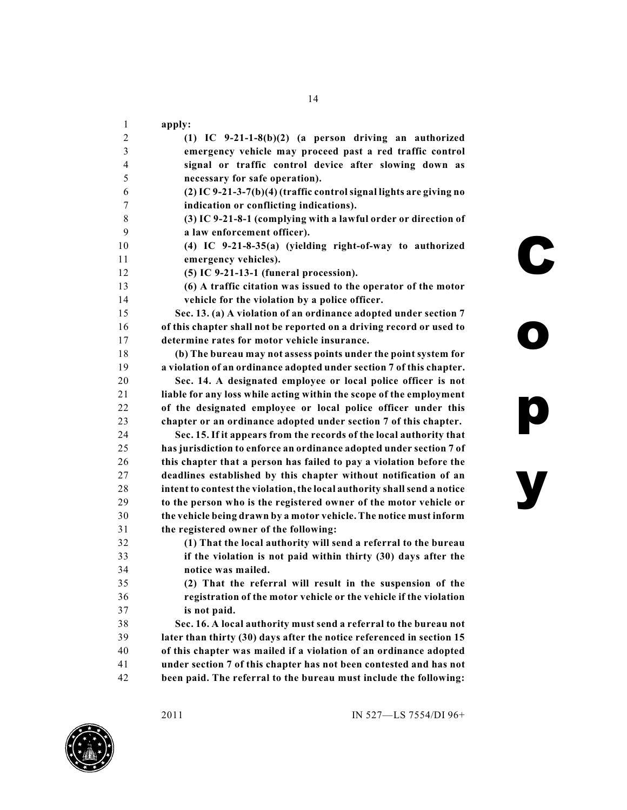| 1                        | apply:                                                                   |
|--------------------------|--------------------------------------------------------------------------|
| $\overline{c}$           | $(1)$ IC 9-21-1-8 $(b)(2)$ (a person driving an authorized               |
| 3                        | emergency vehicle may proceed past a red traffic control                 |
| $\overline{\mathcal{A}}$ | signal or traffic control device after slowing down as                   |
| 5                        | necessary for safe operation).                                           |
| 6                        | (2) IC 9-21-3-7(b)(4) (traffic control signal lights are giving no       |
| 7                        | indication or conflicting indications).                                  |
| 8                        | (3) IC 9-21-8-1 (complying with a lawful order or direction of           |
| 9                        | a law enforcement officer).                                              |
| 10                       | (4) IC 9-21-8-35(a) (yielding right-of-way to authorized                 |
| 11                       | emergency vehicles).                                                     |
| 12                       | $(5)$ IC 9-21-13-1 (funeral procession).                                 |
| 13                       | (6) A traffic citation was issued to the operator of the motor           |
| 14                       | vehicle for the violation by a police officer.                           |
| 15                       | Sec. 13. (a) A violation of an ordinance adopted under section 7         |
| 16                       | of this chapter shall not be reported on a driving record or used to     |
| 17                       | determine rates for motor vehicle insurance.                             |
| 18                       | (b) The bureau may not assess points under the point system for          |
| 19                       | a violation of an ordinance adopted under section 7 of this chapter.     |
| 20                       | Sec. 14. A designated employee or local police officer is not            |
| 21                       | liable for any loss while acting within the scope of the employment      |
| 22                       | of the designated employee or local police officer under this            |
| 23                       | chapter or an ordinance adopted under section 7 of this chapter.         |
| 24                       | Sec. 15. If it appears from the records of the local authority that      |
| 25                       | has jurisdiction to enforce an ordinance adopted under section 7 of      |
| 26                       | this chapter that a person has failed to pay a violation before the      |
| 27                       | deadlines established by this chapter without notification of an         |
| 28                       | intent to contest the violation, the local authority shall send a notice |
| 29                       | to the person who is the registered owner of the motor vehicle or        |
| 30                       | the vehicle being drawn by a motor vehicle. The notice must inform       |
| 31                       | the registered owner of the following:                                   |
| 32                       | (1) That the local authority will send a referral to the bureau          |
| 33                       | if the violation is not paid within thirty (30) days after the           |
| 34                       | notice was mailed.                                                       |
| 35                       | (2) That the referral will result in the suspension of the               |
| 36                       | registration of the motor vehicle or the vehicle if the violation        |
| 37                       | is not paid.                                                             |
| 38                       | Sec. 16. A local authority must send a referral to the bureau not        |
| 39                       | later than thirty (30) days after the notice referenced in section 15    |
| 40                       | of this chapter was mailed if a violation of an ordinance adopted        |
| 41                       | under section 7 of this chapter has not been contested and has not       |
| 42                       | been paid. The referral to the bureau must include the following:        |

**C**

**o**

**p**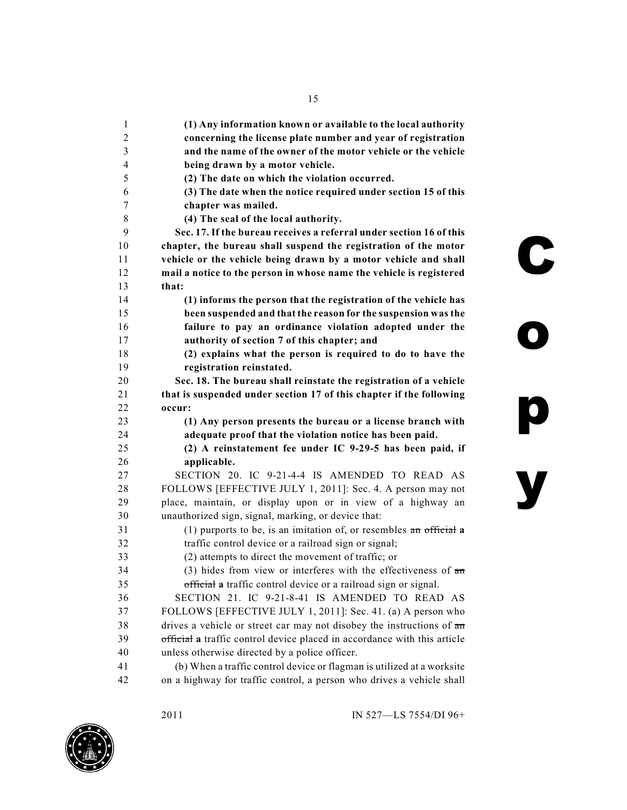| $\mathbf{1}$   | (1) Any information known or available to the local authority                   |   |
|----------------|---------------------------------------------------------------------------------|---|
| $\mathfrak{2}$ | concerning the license plate number and year of registration                    |   |
| 3              | and the name of the owner of the motor vehicle or the vehicle                   |   |
| 4              | being drawn by a motor vehicle.                                                 |   |
| 5              | (2) The date on which the violation occurred.                                   |   |
| 6              | (3) The date when the notice required under section 15 of this                  |   |
| 7              | chapter was mailed.                                                             |   |
| 8              | (4) The seal of the local authority.                                            |   |
| 9              | Sec. 17. If the bureau receives a referral under section 16 of this             |   |
| 10             | chapter, the bureau shall suspend the registration of the motor                 |   |
| 11             | vehicle or the vehicle being drawn by a motor vehicle and shall                 | C |
| 12             | mail a notice to the person in whose name the vehicle is registered             |   |
| 13             | that:                                                                           |   |
| 14             | (1) informs the person that the registration of the vehicle has                 |   |
| 15             | been suspended and that the reason for the suspension was the                   |   |
| 16             | failure to pay an ordinance violation adopted under the                         |   |
| 17             | authority of section 7 of this chapter; and                                     |   |
| 18             | (2) explains what the person is required to do to have the                      |   |
| 19             | registration reinstated.                                                        |   |
| 20             | Sec. 18. The bureau shall reinstate the registration of a vehicle               |   |
| 21             | that is suspended under section 17 of this chapter if the following             |   |
| 22             | occur:                                                                          |   |
| 23             | (1) Any person presents the bureau or a license branch with                     |   |
| 24             | adequate proof that the violation notice has been paid.                         |   |
| 25             | (2) A reinstatement fee under IC 9-29-5 has been paid, if                       |   |
| 26             | applicable.                                                                     |   |
| 27             | SECTION 20. IC 9-21-4-4 IS AMENDED TO READ AS                                   |   |
| 28             | FOLLOWS [EFFECTIVE JULY 1, 2011]: Sec. 4. A person may not                      |   |
| 29             | place, maintain, or display upon or in view of a highway an                     |   |
| 30             | unauthorized sign, signal, marking, or device that:                             |   |
| 31             | (1) purports to be, is an imitation of, or resembles $\overline{an}$ official a |   |
| 32             | traffic control device or a railroad sign or signal;                            |   |
| 33             | (2) attempts to direct the movement of traffic; or                              |   |
| 34             | $(3)$ hides from view or interferes with the effectiveness of $\pi$             |   |
| 35             | official a traffic control device or a railroad sign or signal.                 |   |
| 36             | SECTION 21. IC 9-21-8-41 IS AMENDED TO READ AS                                  |   |
| 37             | FOLLOWS [EFFECTIVE JULY 1, 2011]: Sec. 41. (a) A person who                     |   |
| 38             | drives a vehicle or street car may not disobey the instructions of an           |   |
| 39             | official a traffic control device placed in accordance with this article        |   |
| 40             | unless otherwise directed by a police officer.                                  |   |
| 41             | (b) When a traffic control device or flagman is utilized at a worksite          |   |
| 42             | on a highway for traffic control, a person who drives a vehicle shall           |   |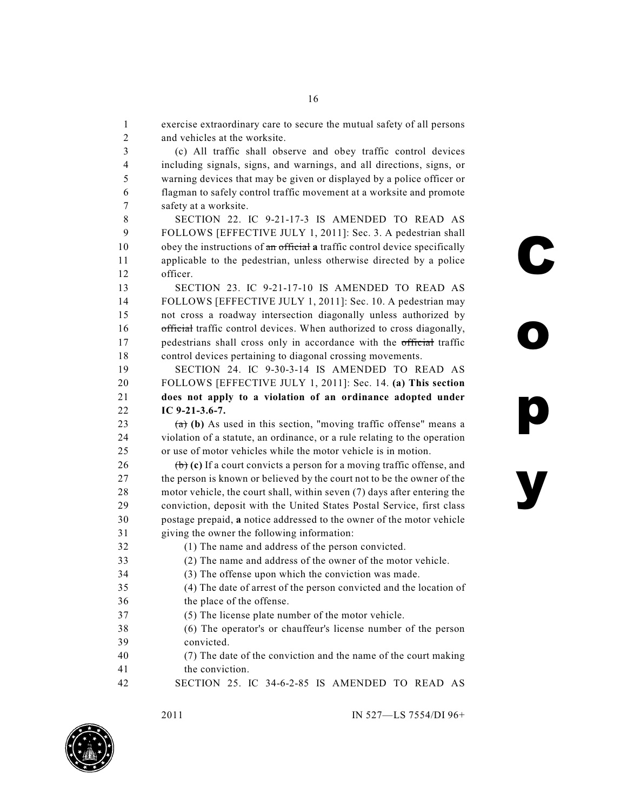exercise extraordinary care to secure the mutual safety of all persons and vehicles at the worksite.

 (c) All traffic shall observe and obey traffic control devices including signals, signs, and warnings, and all directions, signs, or warning devices that may be given or displayed by a police officer or flagman to safely control traffic movement at a worksite and promote safety at a worksite.

 SECTION 22. IC 9-21-17-3 IS AMENDED TO READ AS FOLLOWS [EFFECTIVE JULY 1, 2011]: Sec. 3. A pedestrian shall obey the instructions of an official **a** traffic control device specifically applicable to the pedestrian, unless otherwise directed by a police officer.

 SECTION 23. IC 9-21-17-10 IS AMENDED TO READ AS FOLLOWS [EFFECTIVE JULY 1, 2011]: Sec. 10. A pedestrian may not cross a roadway intersection diagonally unless authorized by official traffic control devices. When authorized to cross diagonally, 17 pedestrians shall cross only in accordance with the official traffic control devices pertaining to diagonal crossing movements.

 SECTION 24. IC 9-30-3-14 IS AMENDED TO READ AS FOLLOWS [EFFECTIVE JULY 1, 2011]: Sec. 14. **(a) This section does not apply to a violation of an ordinance adopted under IC 9-21-3.6-7.**

23  $(a)$  (b) As used in this section, "moving traffic offense" means a violation of a statute, an ordinance, or a rule relating to the operation or use of motor vehicles while the motor vehicle is in motion.

 (b) **(c)** If a court convicts a person for a moving traffic offense, and 27 the person is known or believed by the court not to be the owner of the motor vehicle, the court shall, within seven (7) days after entering the conviction, deposit with the United States Postal Service, first class postage prepaid, **a** notice addressed to the owner of the motor vehicle giving the owner the following information:

- (1) The name and address of the person convicted. (2) The name and address of the owner of the motor vehicle. (3) The offense upon which the conviction was made. (4) The date of arrest of the person convicted and the location of
- the place of the offense.
- (5) The license plate number of the motor vehicle.

 (6) The operator's or chauffeur's license number of the person convicted.

 (7) The date of the conviction and the name of the court making the conviction.

SECTION 25. IC 34-6-2-85 IS AMENDED TO READ AS



2011 IN 527—LS 7554/DI 96+

**C**

**o**

**p**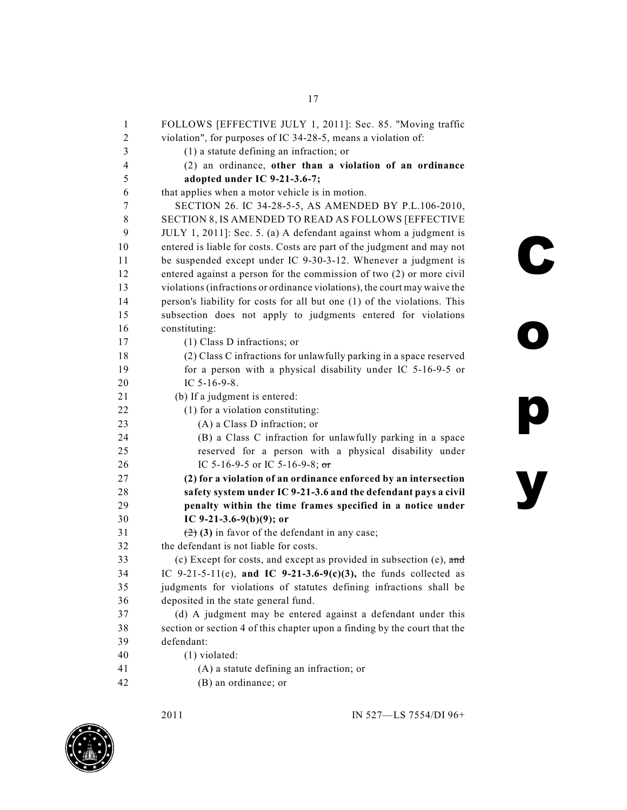| 1                       | FOLLOWS [EFFECTIVE JULY 1, 2011]: Sec. 85. "Moving traffic                                |
|-------------------------|-------------------------------------------------------------------------------------------|
| 2                       | violation", for purposes of IC 34-28-5, means a violation of:                             |
| $\overline{\mathbf{3}}$ | $(1)$ a statute defining an infraction; or                                                |
| $\overline{4}$          | (2) an ordinance, other than a violation of an ordinance                                  |
| 5                       | adopted under IC 9-21-3.6-7;                                                              |
| 6                       | that applies when a motor vehicle is in motion.                                           |
| 7                       | SECTION 26. IC 34-28-5-5, AS AMENDED BY P.L.106-2010,                                     |
| 8                       | SECTION 8, IS AMENDED TO READ AS FOLLOWS [EFFECTIVE                                       |
| 9                       | JULY 1, 2011]: Sec. 5. (a) A defendant against whom a judgment is                         |
| 10                      | entered is liable for costs. Costs are part of the judgment and may not                   |
| 11                      | be suspended except under IC 9-30-3-12. Whenever a judgment is                            |
| 12                      | entered against a person for the commission of two (2) or more civil                      |
| 13                      | violations (infractions or ordinance violations), the court may waive the                 |
| 14                      | person's liability for costs for all but one (1) of the violations. This                  |
| 15                      | subsection does not apply to judgments entered for violations                             |
| 16                      | constituting:                                                                             |
| 17                      | (1) Class D infractions; or                                                               |
| 18                      | (2) Class C infractions for unlawfully parking in a space reserved                        |
| 19                      | for a person with a physical disability under IC 5-16-9-5 or                              |
| 20                      | IC 5-16-9-8.                                                                              |
| 21                      | (b) If a judgment is entered:                                                             |
| 22                      | (1) for a violation constituting:                                                         |
| 23                      | (A) a Class D infraction; or                                                              |
| 24                      | (B) a Class C infraction for unlawfully parking in a space                                |
| 25                      | reserved for a person with a physical disability under                                    |
| 26                      | IC 5-16-9-5 or IC 5-16-9-8; or                                                            |
| 27                      | (2) for a violation of an ordinance enforced by an intersection                           |
| 28                      | safety system under IC 9-21-3.6 and the defendant pays a civil                            |
| 29                      | penalty within the time frames specified in a notice under                                |
| 30                      | IC 9-21-3.6-9(b)(9); or                                                                   |
| 31                      | $(2)$ (3) in favor of the defendant in any case;                                          |
| 32                      | the defendant is not liable for costs.                                                    |
| 33                      | (c) Except for costs, and except as provided in subsection (e), $\overline{\mathsf{and}}$ |
| 34                      | IC 9-21-5-11(e), and IC 9-21-3.6-9(c)(3), the funds collected as                          |
| 35                      | judgments for violations of statutes defining infractions shall be                        |
| 36                      | deposited in the state general fund.                                                      |
| 37                      | (d) A judgment may be entered against a defendant under this                              |
| 38                      | section or section 4 of this chapter upon a finding by the court that the                 |
| 39                      | defendant:                                                                                |
| 40                      | $(1)$ violated:                                                                           |
| 41                      | (A) a statute defining an infraction; or                                                  |
| 42                      | (B) an ordinance; or                                                                      |